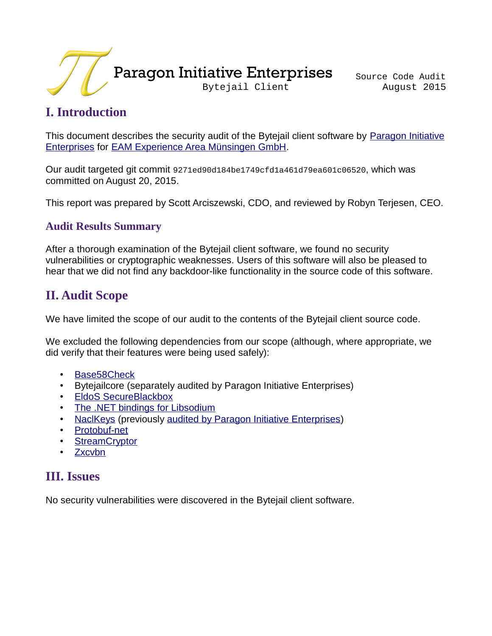

## **I. Introduction**

This document describes the security audit of the Bytejail client software by [Paragon Initiative](https://paragonie.com/) [Enterprises](https://paragonie.com/) for [EAM Experience Area Münsingen GmbH.](https://eam-gmbh.com/)

Our audit targeted git commit 9271ed90d184be1749cfd1a461d79ea601c06520, which was committed on August 20, 2015.

This report was prepared by Scott Arciszewski, CDO, and reviewed by Robyn Terjesen, CEO.

#### **Audit Results Summary**

After a thorough examination of the Bytejail client software, we found no security vulnerabilities or cryptographic weaknesses. Users of this software will also be pleased to hear that we did not find any backdoor-like functionality in the source code of this software.

### **II. Audit Scope**

We have limited the scope of our audit to the contents of the Bytejail client source code.

We excluded the following dependencies from our scope (although, where appropriate, we did verify that their features were being used safely):

- [Base58Check](https://github.com/adamcaudill/Base58Check)
- Bytejailcore (separately audited by Paragon Initiative Enterprises)
- [EldoS SecureBlackbox](https://www.eldos.com/sbb/)
- [The .NET bindings for Libsodium](https://github.com/adamcaudill/libsodium-net)
- [NaclKeys](https://github.com/bitbeans/NaclKeys) (previously [audited by Paragon Initiative Enterprises\)](https://paragonie.com/audit/2QB0t20PnxjevVA0)
- [Protobuf-net](https://github.com/mgravell/protobuf-net)
- **[StreamCryptor](https://github.com/bitbeans/StreamCryptor)**
- [Zxcvbn](https://github.com/darcythomas/zxcvbn.net)

### **III. Issues**

No security vulnerabilities were discovered in the Bytejail client software.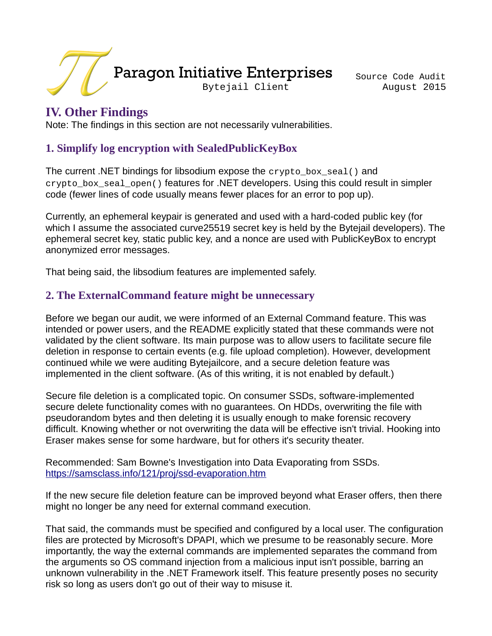

### **IV. Other Findings**

Note: The findings in this section are not necessarily vulnerabilities.

#### **1. Simplify log encryption with SealedPublicKeyBox**

The current .NET bindings for libsodium expose the crypto\_box\_seal() and crypto\_box\_seal\_open() features for .NET developers. Using this could result in simpler code (fewer lines of code usually means fewer places for an error to pop up).

Currently, an ephemeral keypair is generated and used with a hard-coded public key (for which I assume the associated curve25519 secret key is held by the Bytejail developers). The ephemeral secret key, static public key, and a nonce are used with PublicKeyBox to encrypt anonymized error messages.

That being said, the libsodium features are implemented safely.

#### **2. The ExternalCommand feature might be unnecessary**

Before we began our audit, we were informed of an External Command feature. This was intended or power users, and the README explicitly stated that these commands were not validated by the client software. Its main purpose was to allow users to facilitate secure file deletion in response to certain events (e.g. file upload completion). However, development continued while we were auditing Bytejailcore, and a secure deletion feature was implemented in the client software. (As of this writing, it is not enabled by default.)

Secure file deletion is a complicated topic. On consumer SSDs, software-implemented secure delete functionality comes with no guarantees. On HDDs, overwriting the file with pseudorandom bytes and then deleting it is usually enough to make forensic recovery difficult. Knowing whether or not overwriting the data will be effective isn't trivial. Hooking into Eraser makes sense for some hardware, but for others it's security theater.

Recommended: Sam Bowne's Investigation into Data Evaporating from SSDs. <https://samsclass.info/121/proj/ssd-evaporation.htm>

If the new secure file deletion feature can be improved beyond what Eraser offers, then there might no longer be any need for external command execution.

That said, the commands must be specified and configured by a local user. The configuration files are protected by Microsoft's DPAPI, which we presume to be reasonably secure. More importantly, the way the external commands are implemented separates the command from the arguments so OS command injection from a malicious input isn't possible, barring an unknown vulnerability in the .NET Framework itself. This feature presently poses no security risk so long as users don't go out of their way to misuse it.